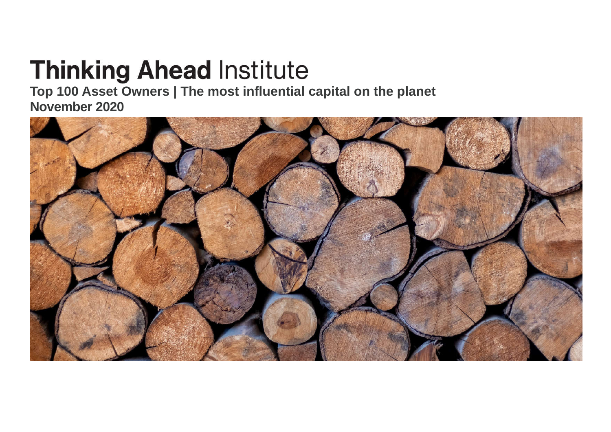# **Thinking Ahead Institute**

**Top 100 Asset Owners | The most influential capital on the planet November 2020**

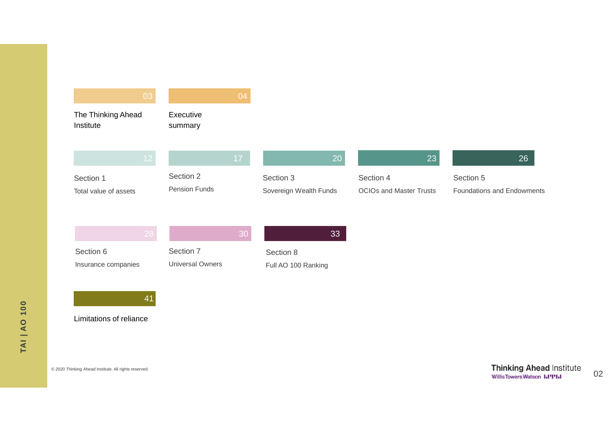| 03                                             |                                      | 04 |                                     |                                             |                                         |
|------------------------------------------------|--------------------------------------|----|-------------------------------------|---------------------------------------------|-----------------------------------------|
| The Thinking Ahead<br>Institute                | Executive<br>summary                 |    |                                     |                                             |                                         |
| 12                                             |                                      | 17 | 20                                  | 23                                          | 26                                      |
| Section 1<br>Total value of assets             | Section 2<br>Pension Funds           |    | Section 3<br>Sovereign Wealth Funds | Section 4<br><b>OCIOs and Master Trusts</b> | Section 5<br>Foundations and Endowments |
| 28                                             |                                      | 30 | 33                                  |                                             |                                         |
| Section 6<br>Insurance companies               | Section 7<br><b>Universal Owners</b> |    | Section 8<br>Full AO 100 Ranking    |                                             |                                         |
| 41<br>Limitations of reliance                  |                                      |    |                                     |                                             |                                         |
|                                                |                                      |    |                                     |                                             |                                         |
| Thinking Ahead Institute. All rights reserved. |                                      |    |                                     |                                             | <b>Thinking Ahead</b>                   |

 $© 2020$ 

d Institute 02 WillisTowersWatson I.PPI.I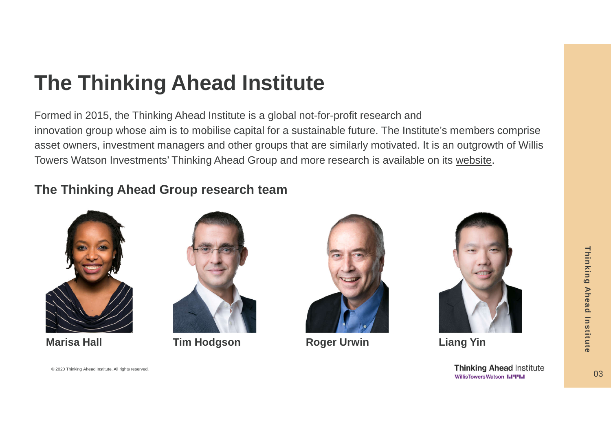# **The Thinking Ahead Institute**

Formed in 2015, the Thinking Ahead Institute is a global not-for-profit research and innovation group whose aim is to mobilise capital for a sustainable future. The Institute's members comprise asset owners, investment managers and other groups that are similarly motivated. It is an outgrowth of Willis Towers Watson Investments' Thinking Ahead Group and more research is available on its website.

#### **The Thinking Ahead Group research team**





**Marisa Hall**  $\qquad \qquad$  **Tim Hodgson Roger Urwin Liang Yin** 





© 2020 Thinking Ahead Institute. All rights reserved. Contract to the contract of the contract of the contract of the contract of the contract of the contract of the contract of the contract of the contract of the contract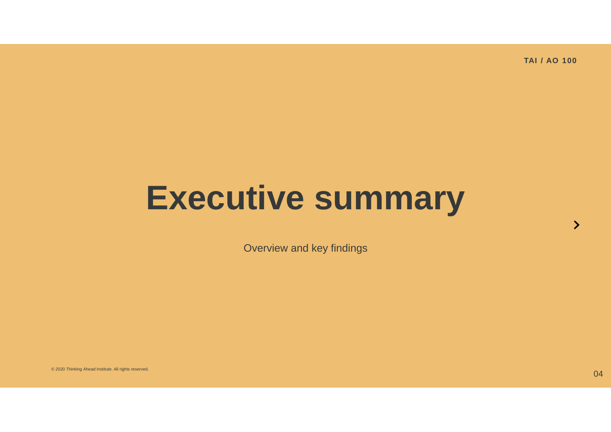# **Executive summary**

Overview and key findings

© 2020 Thinking Ahead Institute. All rights reserved.  $04$ 

 $\mathbf{\lambda}$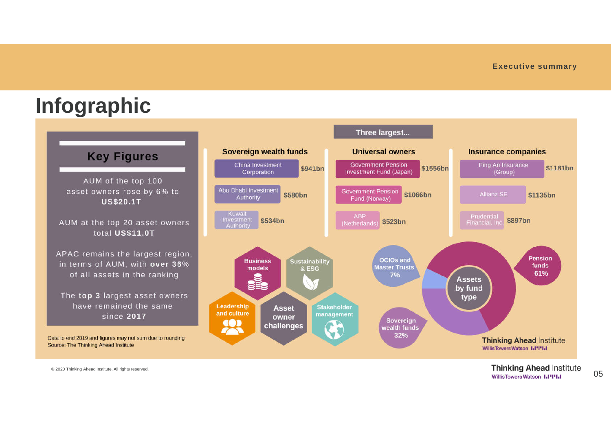# **Infographic**



© 2020 Thinking Ahead Institute. All rights reserved. Contract to the contract of the contract of the contract of the contract of the contract of the contract of the contract of the contract of the contract of the contract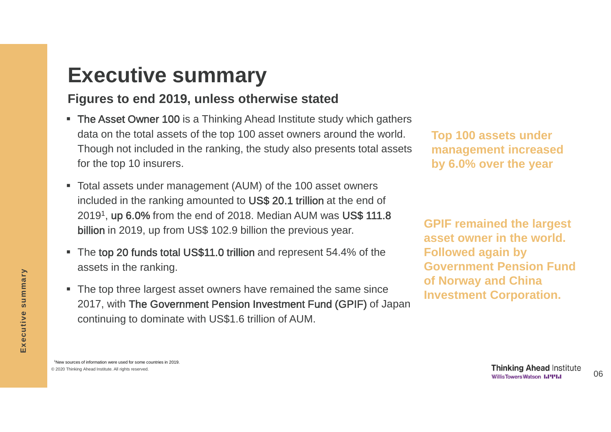# **Executive summary**

#### **Figures to end 2019, unless otherwise stated**

- The Asset Owner 100 is a Thinking Ahead Institute study which gathers data on the total assets of the top 100 asset owners around the world. Though not included in the ranking, the study also presents total assets for the top 10 insurers.
- Total assets under management (AUM) of the 100 asset owners included in the ranking amounted to US\$ 20.1 trillion at the end of 20191, up 6.0% from the end of 2018. Median AUM was US\$ 111.8 billion in 2019, up from US\$ 102.9 billion the previous year.
- The top 20 funds total US\$11.0 trillion and represent 54.4% of the assets in the ranking.
- The top three largest asset owners have remained the same since 2017, with The Government Pension Investment Fund (GPIF) of Japan continuing to dominate with US\$1.6 trillion of AUM.

**Top 100 assets under management increased by 6.0% over the year**

**GPIF remained the largest asset owner in the world. Followed again by Government Pension Fund of Norway and China Investment Corporation.**

**Executive summary**

Executive summary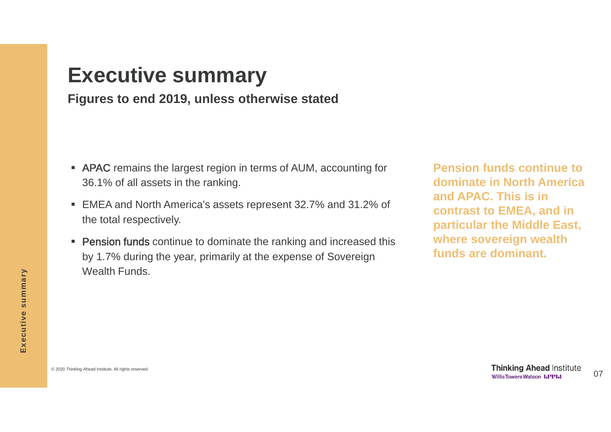### **Executive summary**

#### **Figures to end 2019, unless otherwise stated**

- **APAC** remains the largest region in terms of AUM, accounting for 36.1% of all assets in the ranking.
- EMEA and North America's assets represent 32.7% and 31.2% of the total respectively.
- **Pension funds** continue to dominate the ranking and increased this by 1.7% during the year, primarily at the expense of Sovereign Wealth Funds.

**Pension funds continue to dominate in North America and APAC. This is in contrast to EMEA, and in particular the Middle East, where sovereign wealth funds are dominant.**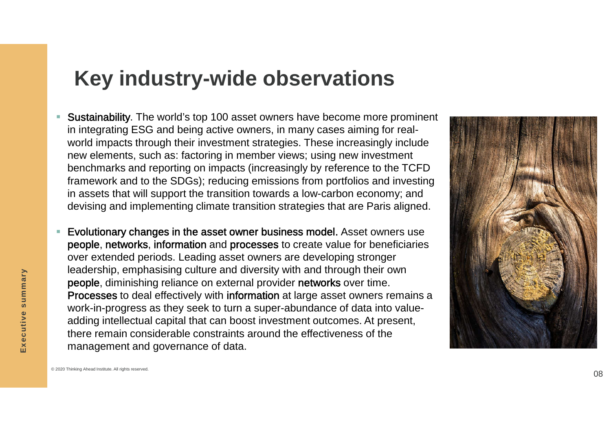## **Key industry -wide observations**

- Sustainability. The world's top 100 asset owners have become more prominent in integrating ESG and being active owners, in many cases aiming for real world impacts through their investment strategies. These increasingly include new elements, such as: factoring in member views; using new investment benchmarks and reporting on impacts (increasingly by reference to the TCFD framework and to the SDGs); reducing emissions from portfolios and investing in assets that will support the transition towards a low -carbon economy; and devising and implementing climate transition strategies that are Paris aligned.
- Evolutionary changes in the asset owner business model. Asset owners use people, networks, information and processes to create value for beneficiaries over extended periods. Leading asset owners are developing stronger leadership, emphasising culture and diversity with and through their own people, diminishing reliance on external provider networks over time. Processes to deal effectively with information at large asset owners remains a work -in -progress as they seek to turn a super -abundance of data into value adding intellectual capital that can boost investment outcomes. At present, there remain considerable constraints around the effectiveness of the management and governance of data.



**Executive summary**

Executive summary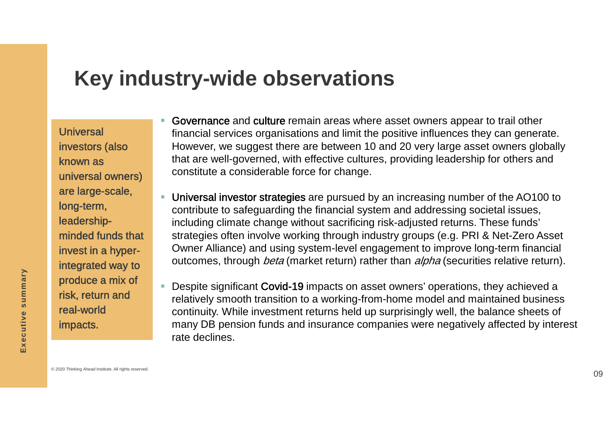## **Key industry-wide observations**

Universal investors (also known as universal owners) are large-scale, long-term, leadershipminded funds that invest in a hyperintegrated way to produce a mix of risk, return and real-world impacts.

- Governance and culture remain areas where asset owners appear to trail other financial services organisations and limit the positive influences they can generate. However, we suggest there are between 10 and 20 very large asset owners globally that are well-governed, with effective cultures, providing leadership for others and constitute a considerable force for change.
- Universal investor strategies are pursued by an increasing number of the AO100 to contribute to safeguarding the financial system and addressing societal issues, including climate change without sacrificing risk-adjusted returns. These funds' strategies often involve working through industry groups (e.g. PRI & Net-Zero Asset Owner Alliance) and using system-level engagement to improve long-term financial outcomes, through *beta* (market return) rather than *alpha* (securities relative return).
	- Despite significant Covid-19 impacts on asset owners' operations, they achieved a relatively smooth transition to a working-from-home model and maintained business continuity. While investment returns held up surprisingly well, the balance sheets of many DB pension funds and insurance companies were negatively affected by interest rate declines.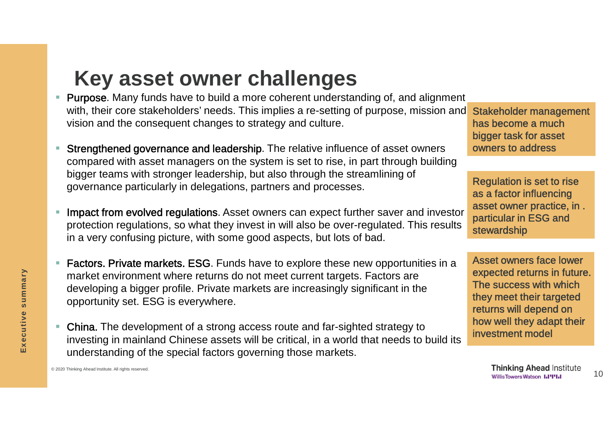# **Key asset owner challenges**

- Purpose. Many funds have to build a more coherent understanding of, and alignment with, their core stakeholders' needs. This implies a re-setting of purpose, mission and vision and the consequent changes to strategy and culture.
- Strengthened governance and leadership. The relative influence of asset owners compared with asset managers on the system is set to rise, in part through building bigger teams with stronger leadership, but also through the streamlining of governance particularly in delegations, partners and processes.
- Impact from evolved regulations. Asset owners can expect further saver and investor protection regulations, so what they invest in will also be over-regulated. This results in a very confusing picture, with some good aspects, but lots of bad.
- Factors. Private markets. ESG. Funds have to explore these new opportunities in a market environment where returns do not meet current targets. Factors are developing a bigger profile. Private markets are increasingly significant in the opportunity set. ESG is everywhere.
- China. The development of a strong access route and far-sighted strategy to investing in mainland Chinese assets will be critical, in a world that needs to build its understanding of the special factors governing those markets.

Stakeholder management has become a much bigger task for asset owners to address

Regulation is set to rise as a factor influencing asset owner practice, in . particular in ESG and stewardship

Asset owners face lower expected returns in future. The success with which they meet their targeted returns will depend on how well they adapt their investment model

**Thinking Ahead Institute** 10 **Willis Towers Watson I.I'I'I.I**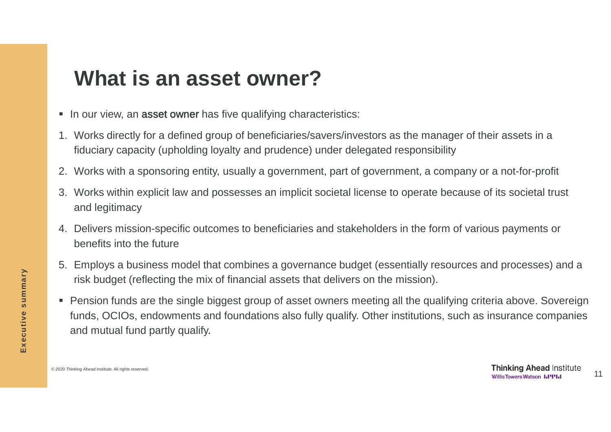## **What is an asset owner?**

- In our view, an asset owner has five qualifying characteristics:
- 1. Works directly for a defined group of beneficiaries/savers/investors as the manager of their assets in a fiduciary capacity (upholding loyalty and prudence) under delegated responsibility
- 2. Works with a sponsoring entity, usually a government, part of government, a company or a not-for-profit
- 3. Works within explicit law and possesses an implicit societal license to operate because of its societal trust and legitimacy
- 4. Delivers mission-specific outcomes to beneficiaries and stakeholders in the form of various payments or benefits into the future
- 5. Employs a business model that combines a governance budget (essentially resources and processes) and a risk budget (reflecting the mix of financial assets that delivers on the mission).
- Pension funds are the single biggest group of asset owners meeting all the qualifying criteria above. Sovereign funds, OCIOs, endowments and foundations also fully qualify. Other institutions, such as insurance companies and mutual fund partly qualify.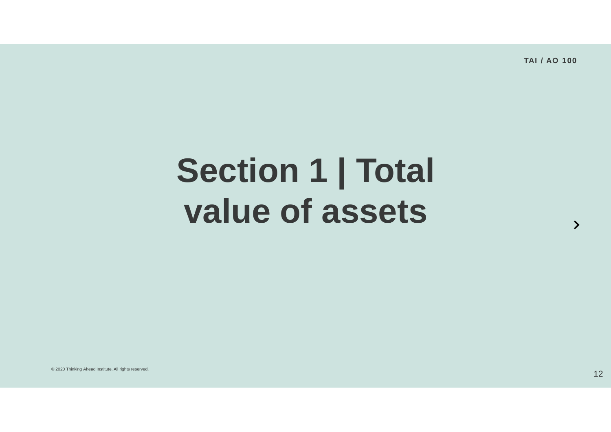# **Section 1 | Total value of assets**

© 2020 Thinking Ahead Institute. All rights reserved.  $12\,$ 

 $\rightarrow$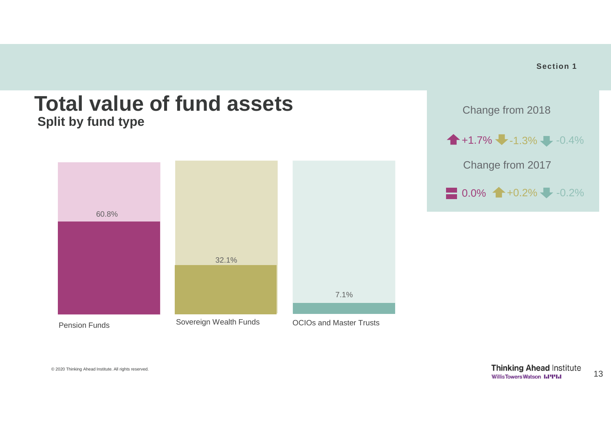

**Section 1**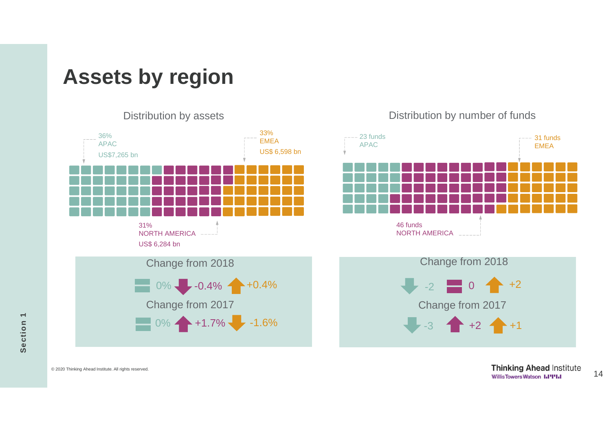# **Assets by region**

36% APAC US\$7,265 bn 33% EMEA US\$ 6,598 bn 31% NORTH AMERICA US\$ 6,284 bn Change from 2018  $0\%$  -0.4% +0.4% Change from 2017  $0\% +1.7\% -1.6\%$ 

### 23 funds APAC 31 funds EMEA 46 funds NORTH AMERICA



Section 1 **Section 1**

14 © 2020 Thinking Ahead Institute. All rights reserved.

Distribution by assets Distribution by number of funds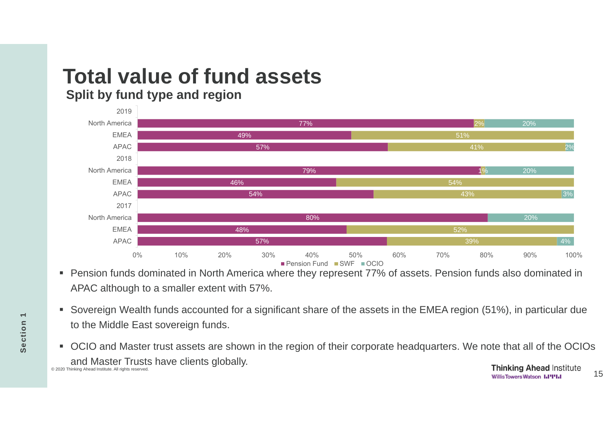### **Total value of fund assets Split by fund type and region**



- Pension funds dominated in North America where they represent 77% of assets. Pension funds also dominated in APAC although to a smaller extent with 57%.
- Sovereign Wealth funds accounted for a significant share of the assets in the EMEA region (51%), in particular due to the Middle East sovereign funds.
- OCIO and Master trust assets are shown in the region of their corporate headquarters. We note that all of the OCIOs and Master Trusts have clients globally. 15 © 2020 Thinking Ahead Institute. All rights reserved.

**Section 1**

Section<sub>1</sub>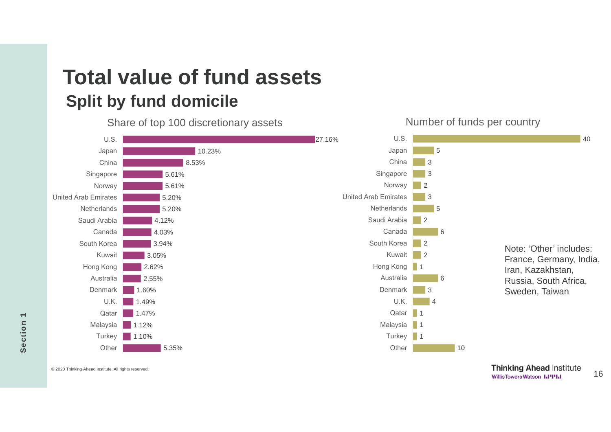## **Total value of fund assets Split by fund domicile**

Share of top 100 discretionary assets



Number of funds per country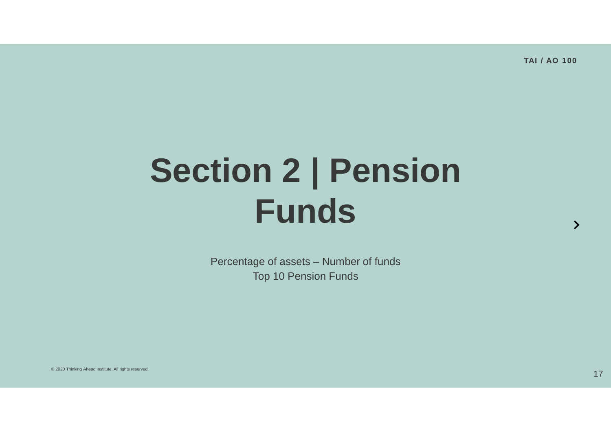# **Section 2 | Pension Funds**

Percentage of assets – Number of funds Top 10 Pension Funds

© 2020 Thinking Ahead Institute. All rights reserved.  $17\,$ 

 $\rightarrow$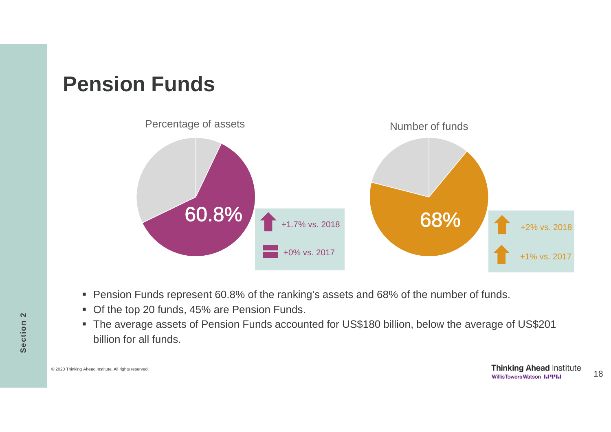## **Pension Funds**



- Pension Funds represent 60.8% of the ranking's assets and 68% of the number of funds.
- Of the top 20 funds, 45% are Pension Funds.
- The average assets of Pension Funds accounted for US\$180 billion, below the average of US\$201 billion for all funds.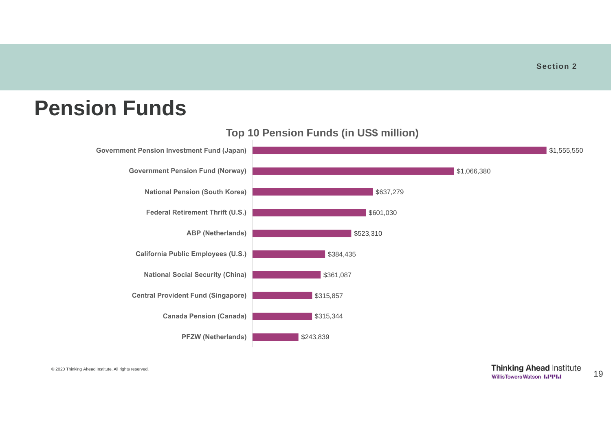## **Pension Funds**



#### **Top 10 Pension Funds (in US\$ million)**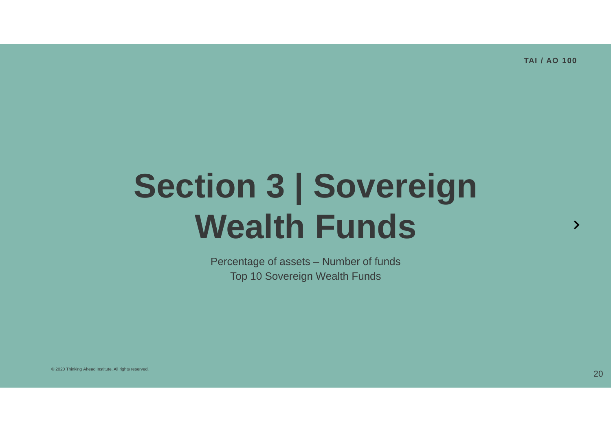# **Section 3 | Sovereign Wealth Funds**

Percentage of assets – Number of funds Top 10 Sovereign Wealth Funds

 $\mathcal{P}$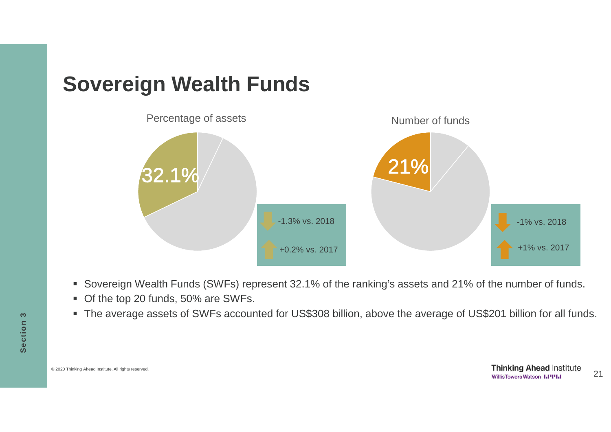# **Sovereign Wealth Funds**



- Sovereign Wealth Funds (SWFs) represent 32.1% of the ranking's assets and 21% of the number of funds.
- Of the top 20 funds, 50% are SWFs.
- The average assets of SWFs accounted for US\$308 billion, above the average of US\$201 billion for all funds.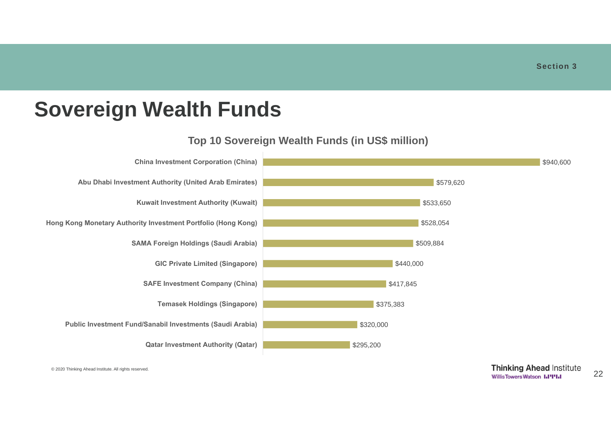## **Sovereign Wealth Funds**

#### **Top 10 Sovereign Wealth Funds (in US\$ million)**

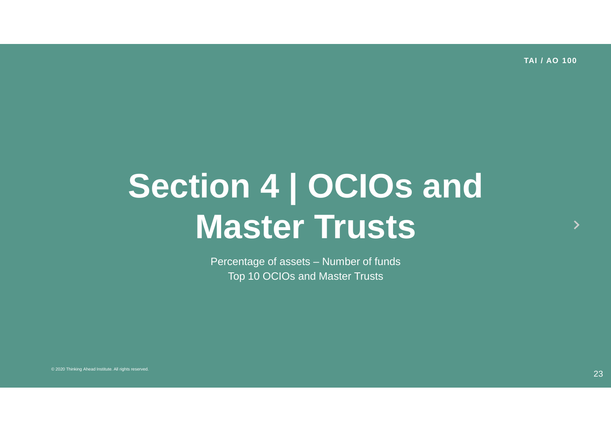# **Section 4 | OCIOs and Master Trusts**

Percentage of assets – Number of funds Top 10 OCIOs and Master Trusts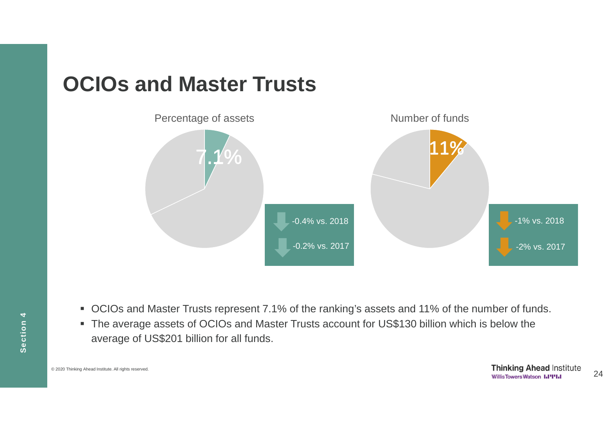# **OCIOs and Master Trusts**



- OCIOs and Master Trusts represent 7.1% of the ranking's assets and 11% of the number of funds.
- The average assets of OCIOs and Master Trusts account for US\$130 billion which is below the average of US\$201 billion for all funds.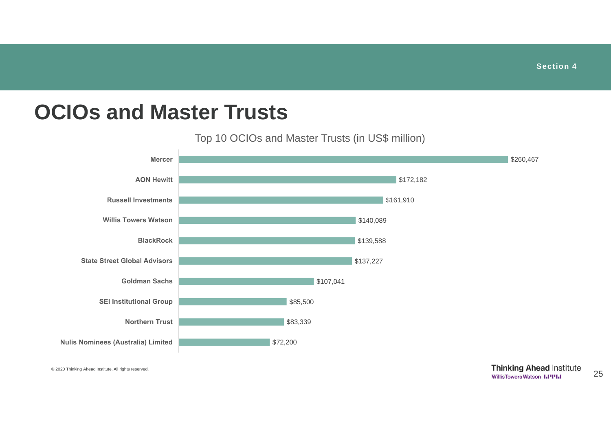## **OCIOs and Master Trusts**

#### Top 10 OCIOs and Master Trusts (in US\$ million)

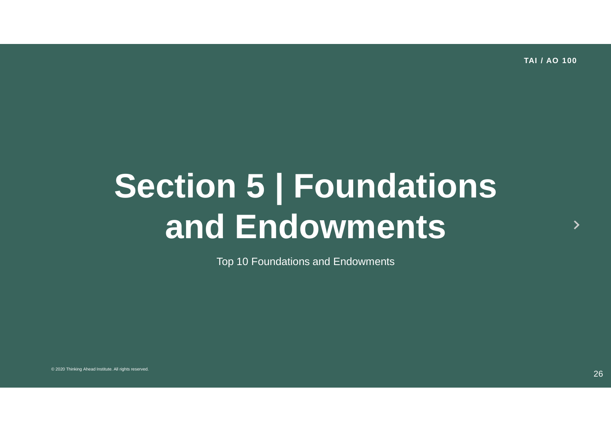# **Section 5 | Foundations and Endowments**

Top 10 Foundations and Endowments

 $\mathbf{\lambda}$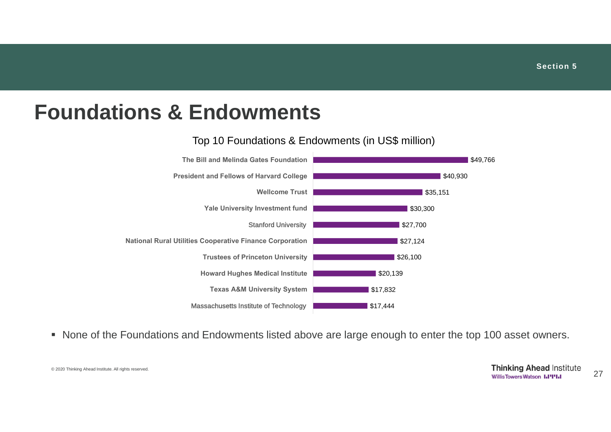## **Foundations & Endowments**

#### Top 10 Foundations & Endowments (in US\$ million)



• None of the Foundations and Endowments listed above are large enough to enter the top 100 asset owners.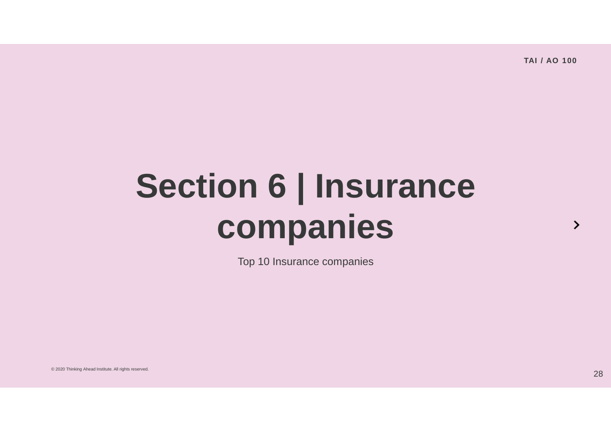# **Section 6 | Insurance companies**

Top 10 Insurance companies

© 2020 Thinking Ahead Institute. All rights reserved.<br>28 December 2020 Thinking Ahead Institute. All rights reserved.

 $\rightarrow$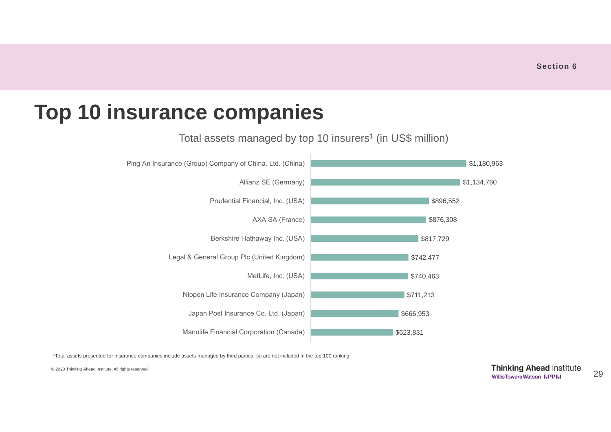# **Top 10 insurance companies**



Total assets managed by top 10 insurers<sup>1</sup> (in US\$ million)

<sup>1</sup>Total assets presented for insurance companies include assets managed by third parties, so are not included in the top 100 ranking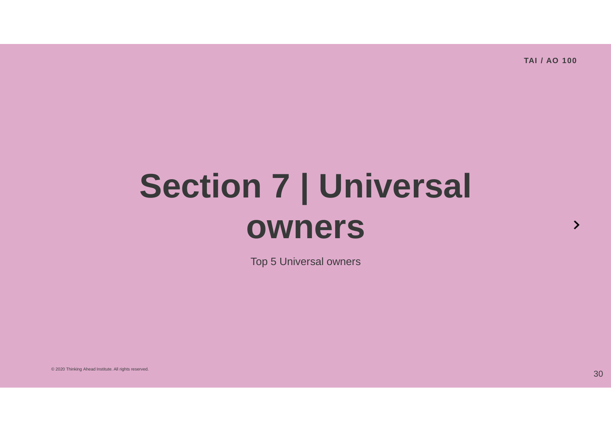# **Section 7 | Universal owners**

Top 5 Universal owners

© 2020 Thinking Ahead Institute. All rights reserved.  $\rm 30$ 

 $\rightarrow$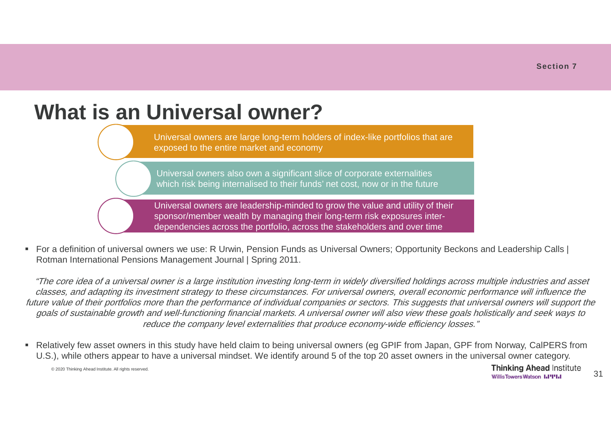# **What is an Universal owner?**

Universal owners are large long-term holders of index-like portfolios that are exposed to the entire market and economy

Universal owners also own a significant slice of corporate externalities which risk being internalised to their funds' net cost, now or in the future

Universal owners are leadership-minded to grow the value and utility of their sponsor/member wealth by managing their long-term risk exposures interdependencies across the portfolio, across the stakeholders and over time

 For a definition of universal owners we use: R Urwin, Pension Funds as Universal Owners; Opportunity Beckons and Leadership Calls | Rotman International Pensions Management Journal | Spring 2011.

"The core idea of a universal owner is a large institution investing long-term in widely diversified holdings across multiple industries and asset classes, and adapting its investment strategy to these circumstances. For universal owners, overall economic performance will influence the future value of their portfolios more than the performance of individual companies or sectors. This suggests that universal owners will support the goals of sustainable growth and well-functioning financial markets. A universal owner will also view these goals holistically and seek ways to reduce the company level externalities that produce economy-wide efficiency losses."

■ Relatively few asset owners in this study have held claim to being universal owners (eg GPIF from Japan, GPF from Norway, CalPERS from U.S.), while others appear to have a universal mindset. We identify around 5 of the top 20 asset owners in the universal owner category.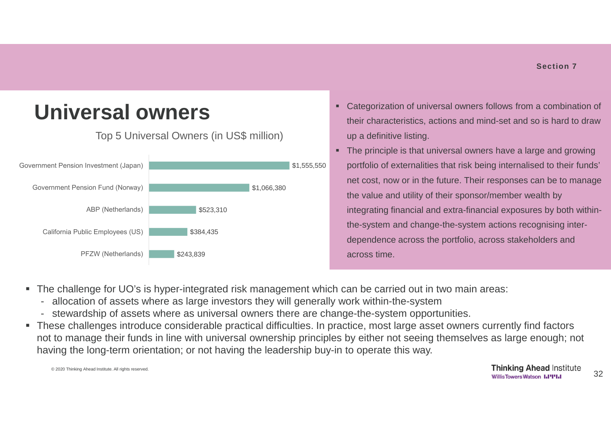#### **Universal owners** \$243,839 \$384,435 \$523,310 \$1,066,380 \$1,555,550 PFZW (Netherlands) California Public Employees (US) ABP (Netherlands) Government Pension Fund (Norway) Government Pension Investment (Japan) Top 5 Universal Owners (in US\$ million)

- Categorization of universal owners follows from a combination of their characteristics, actions and mind-set and so is hard to draw up a definitive listing.
- The principle is that universal owners have a large and growing portfolio of externalities that risk being internalised to their funds' net cost, now or in the future. Their responses can be to manage the value and utility of their sponsor/member wealth by integrating financial and extra-financial exposures by both withinthe-system and change-the-system actions recognising interdependence across the portfolio, across stakeholders and across time.
- The challenge for UO's is hyper-integrated risk management which can be carried out in two main areas:
	- allocation of assets where as large investors they will generally work within-the-system
	- stewardship of assets where as universal owners there are change-the-system opportunities.
- These challenges introduce considerable practical difficulties. In practice, most large asset owners currently find factors not to manage their funds in line with universal ownership principles by either not seeing themselves as large enough; not having the long-term orientation; or not having the leadership buy-in to operate this way.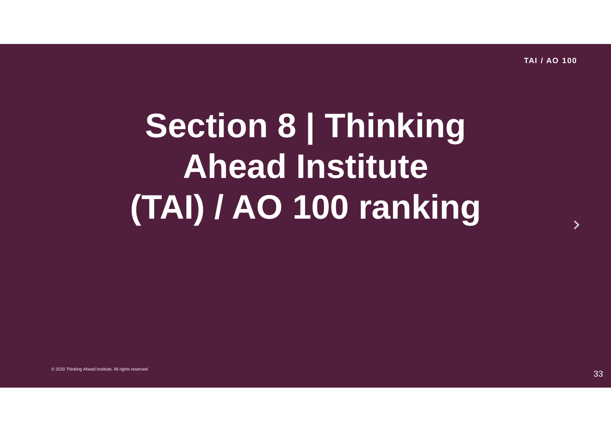# **Section 8 | Thinking Ahead Institute (TAI) / AO 100 ranking**

 $\rightarrow$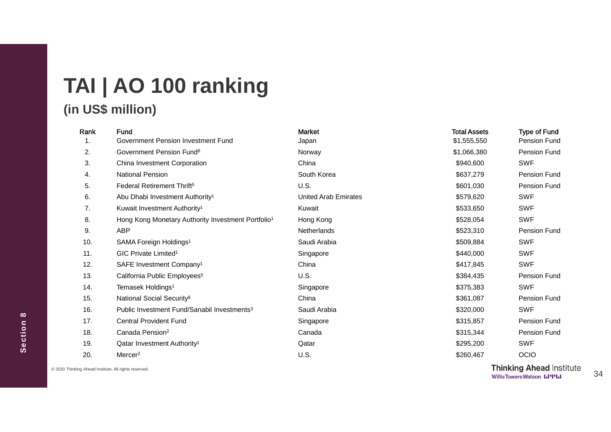# **TAI | AO 100 ranking**

#### **(in US\$ million)**

| Rank | Fund                                                           | <b>Market</b>        | <b>Total Assets</b> | <b>Type of Fund</b> |
|------|----------------------------------------------------------------|----------------------|---------------------|---------------------|
| 1.   | Government Pension Investment Fund                             | Japan                | \$1,555,550         | Pension Fund        |
| 2.   | Government Pension Fund <sup>8</sup>                           | Norway               | \$1,066,380         | Pension Fund        |
| 3.   | China Investment Corporation                                   | China                | \$940,600           | <b>SWF</b>          |
| 4.   | National Pension                                               | South Korea          | \$637,279           | Pension Fund        |
| 5.   | Federal Retirement Thrift <sup>5</sup>                         | U.S.                 | \$601,030           | Pension Fund        |
| 6.   | Abu Dhabi Investment Authority <sup>1</sup>                    | United Arab Emirates | \$579,620           | <b>SWF</b>          |
| 7.   | Kuwait Investment Authority <sup>1</sup>                       | Kuwait               | \$533,650           | <b>SWF</b>          |
| 8.   | Hong Kong Monetary Authority Investment Portfolio <sup>1</sup> | Hong Kong            | \$528,054           | <b>SWF</b>          |
| 9.   | ABP                                                            | <b>Netherlands</b>   | \$523,310           | Pension Fund        |
| 10.  | SAMA Foreign Holdings <sup>1</sup>                             | Saudi Arabia         | \$509,884           | <b>SWF</b>          |
| 11.  | GIC Private Limited <sup>1</sup>                               | Singapore            | \$440,000           | <b>SWF</b>          |
| 12.  | SAFE Investment Company <sup>1</sup>                           | China                | \$417,845           | <b>SWF</b>          |
| 13.  | California Public Employees <sup>5</sup>                       | U.S.                 | \$384,435           | Pension Fund        |
| 14.  | Temasek Holdings <sup>1</sup>                                  | Singapore            | \$375,383           | <b>SWF</b>          |
| 15.  | National Social Security <sup>8</sup>                          | China                | \$361,087           | Pension Fund        |
| 16.  | Public Investment Fund/Sanabil Investments <sup>3</sup>        | Saudi Arabia         | \$320,000           | <b>SWF</b>          |
| 17.  | <b>Central Provident Fund</b>                                  | Singapore            | \$315,857           | Pension Fund        |
| 18.  | Canada Pension <sup>2</sup>                                    | Canada               | \$315,344           | Pension Fund        |
| 19.  | Qatar Investment Authority <sup>1</sup>                        | Qatar                | \$295,200           | <b>SWF</b>          |
| 20.  | Mercer <sup>2</sup>                                            | U.S.                 | \$260,467           | OCIO                |
|      |                                                                |                      |                     |                     |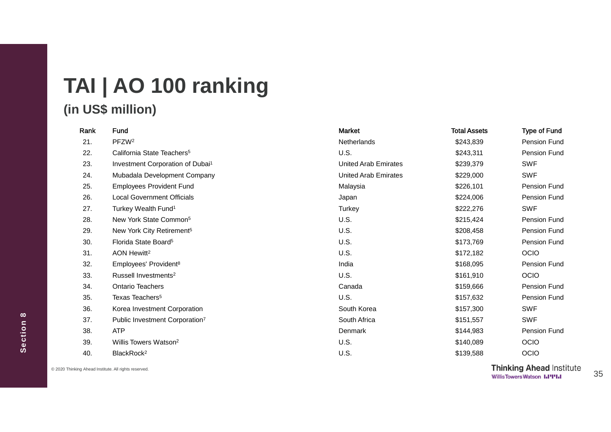## **TAI | AO 100 ranking (in US\$ million)**

#### Rank Fund Type of Fund Market Narket Total Assets Type of Fund 21. PFZW 22. California State Teachers 23. Investment Corporation of Dubai

| 21. | PFZW <sup>2</sup>                            | Netherlands                 | \$243,839 | Pension Fund |
|-----|----------------------------------------------|-----------------------------|-----------|--------------|
| 22. | California State Teachers <sup>5</sup>       | U.S.                        | \$243,311 | Pension Fund |
| 23. | Investment Corporation of Dubai <sup>1</sup> | <b>United Arab Emirates</b> | \$239,379 | <b>SWF</b>   |
| 24. | Mubadala Development Company                 | United Arab Emirates        | \$229,000 | <b>SWF</b>   |
| 25. | <b>Employees Provident Fund</b>              | Malaysia                    | \$226,101 | Pension Fund |
| 26. | <b>Local Government Officials</b>            | Japan                       | \$224,006 | Pension Fund |
| 27. | Turkey Wealth Fund <sup>1</sup>              | Turkey                      | \$222,276 | <b>SWF</b>   |
| 28. | New York State Common <sup>5</sup>           | U.S.                        | \$215,424 | Pension Fund |
| 29. | New York City Retirement <sup>5</sup>        | U.S.                        | \$208,458 | Pension Fund |
| 30. | Florida State Board <sup>5</sup>             | U.S.                        | \$173,769 | Pension Fund |
| 31. | AON Hewitt <sup>2</sup>                      | U.S.                        | \$172,182 | OCIO         |
| 32. | Employees' Provident <sup>8</sup>            | India                       | \$168,095 | Pension Fund |
| 33. | Russell Investments <sup>2</sup>             | U.S.                        | \$161,910 | <b>OCIO</b>  |
| 34. | Ontario Teachers                             | Canada                      | \$159,666 | Pension Fund |
| 35. | Texas Teachers <sup>5</sup>                  | U.S.                        | \$157,632 | Pension Fund |
| 36. | Korea Investment Corporation                 | South Korea                 | \$157,300 | <b>SWF</b>   |
| 37. | Public Investment Corporation7               | South Africa                | \$151,557 | <b>SWF</b>   |
| 38. | <b>ATP</b>                                   | Denmark                     | \$144,983 | Pension Fund |
| 39. | Willis Towers Watson <sup>2</sup>            | U.S.                        | \$140,089 | OCIO         |
| 40. | BlackRock <sup>2</sup>                       | U.S.                        | \$139,588 | OCIO         |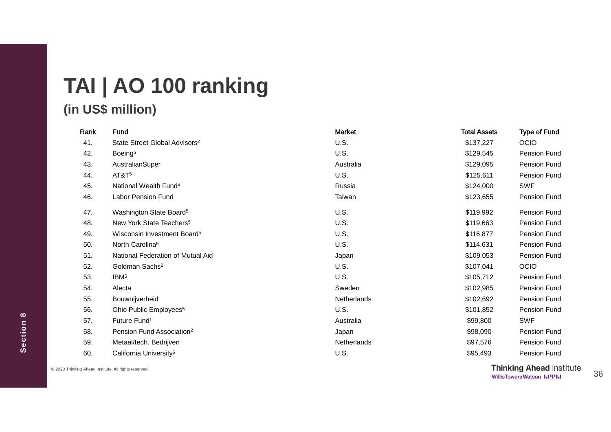# **TAI | AO 100 ranking**

#### **(in US\$ million)**

| Rank | Fund                                      | <b>Market</b>      | <b>Total Assets</b> | <b>Type of Fund</b> |
|------|-------------------------------------------|--------------------|---------------------|---------------------|
| 41.  | State Street Global Advisors <sup>2</sup> | U.S.               | \$137,227           | OCIO                |
| 42.  | Boeing <sup>5</sup>                       | U.S.               | \$129,545           | Pension Fund        |
| 43.  | AustralianSuper                           | Australia          | \$129,095           | <b>Pension Fund</b> |
| 44.  | AT&T <sup>5</sup>                         | U.S.               | \$125,611           | Pension Fund        |
| 45.  | National Wealth Fund <sup>4</sup>         | Russia             | \$124,000           | <b>SWF</b>          |
| 46.  | <b>Labor Pension Fund</b>                 | Taiwan             | \$123,655           | Pension Fund        |
| 47.  | Washington State Board <sup>5</sup>       | U.S.               | \$119,992           | Pension Fund        |
| 48.  | New York State Teachers <sup>5</sup>      | U.S.               | \$119,663           | Pension Fund        |
| 49.  | Wisconsin Investment Board <sup>5</sup>   | U.S.               | \$116,877           | Pension Fund        |
| 50.  | North Carolina <sup>5</sup>               | U.S.               | \$114,631           | Pension Fund        |
| 51.  | National Federation of Mutual Aid         | Japan              | \$109,053           | Pension Fund        |
| 52.  | Goldman Sachs <sup>2</sup>                | U.S.               | \$107,041           | OCIO                |
| 53.  | IBM <sup>5</sup>                          | U.S.               | \$105,712           | Pension Fund        |
| 54.  | Alecta                                    | Sweden             | \$102,985           | Pension Fund        |
| 55.  | Bouwnijverheid                            | Netherlands        | \$102,692           | Pension Fund        |
| 56.  | Ohio Public Employees <sup>5</sup>        | U.S.               | \$101,852           | <b>Pension Fund</b> |
| 57.  | Future Fund <sup>1</sup>                  | Australia          | \$99,800            | <b>SWF</b>          |
| 58.  | Pension Fund Association <sup>2</sup>     | Japan              | \$98,090            | Pension Fund        |
| 59.  | Metaal/tech. Bedrijven                    | <b>Netherlands</b> | \$97,576            | <b>Pension Fund</b> |
| 60.  | California University <sup>5</sup>        | U.S.               | \$95,493            | <b>Pension Fund</b> |

Section 8 **Section 8**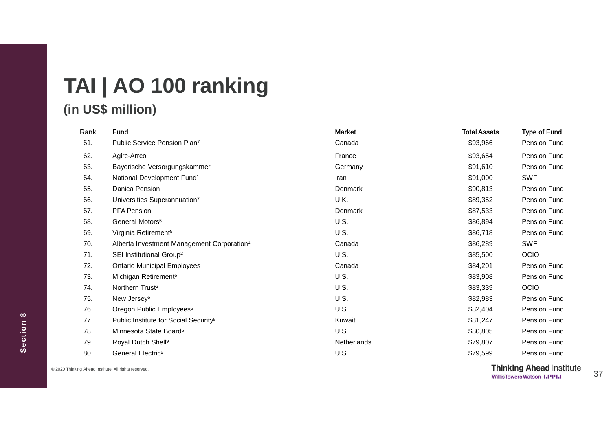# **TAI | AO 100 ranking**

### **(in US\$ million)**

| Rank | Fund                                                   | Market         | <b>Total Assets</b> | <b>Type of Fund</b> |
|------|--------------------------------------------------------|----------------|---------------------|---------------------|
| 61.  | Public Service Pension Plan <sup>7</sup>               | Canada         | \$93,966            | Pension Fund        |
| 62.  | Agirc-Arrco                                            | France         | \$93,654            | Pension Fund        |
| 63.  | Bayerische Versorgungskammer                           | Germany        | \$91,610            | Pension Fund        |
| 64.  | National Development Fund <sup>1</sup>                 | Iran           | \$91,000            | <b>SWF</b>          |
| 65.  | Danica Pension                                         | <b>Denmark</b> | \$90,813            | Pension Fund        |
| 66.  | Universities Superannuation7                           | U.K.           | \$89,352            | Pension Fund        |
| 67.  | <b>PFA Pension</b>                                     | Denmark        | \$87,533            | Pension Fund        |
| 68.  | General Motors <sup>5</sup>                            | U.S.           | \$86,894            | Pension Fund        |
| 69.  | Virginia Retirement <sup>5</sup>                       | <b>U.S.</b>    | \$86,718            | Pension Fund        |
| 70.  | Alberta Investment Management Corporation <sup>1</sup> | Canada         | \$86,289            | <b>SWF</b>          |
| 71.  | SEI Institutional Group <sup>2</sup>                   | U.S.           | \$85,500            | OCIO                |
| 72.  | <b>Ontario Municipal Employees</b>                     | Canada         | \$84,201            | Pension Fund        |
| 73.  | Michigan Retirement <sup>5</sup>                       | U.S.           | \$83,908            | Pension Fund        |
| 74.  | Northern Trust <sup>2</sup>                            | <b>U.S.</b>    | \$83,339            | <b>OCIO</b>         |
| 75.  | New Jersey <sup>5</sup>                                | U.S.           | \$82,983            | Pension Fund        |
| 76.  | Oregon Public Employees <sup>5</sup>                   | U.S.           | \$82,404            | Pension Fund        |
| 77.  | Public Institute for Social Security <sup>8</sup>      | Kuwait         | \$81,247            | Pension Fund        |
| 78.  | Minnesota State Board <sup>5</sup>                     | <b>U.S.</b>    | \$80,805            | Pension Fund        |
| 79.  | Royal Dutch Shell <sup>9</sup>                         | Netherlands    | \$79,807            | <b>Pension Fund</b> |
| 80.  | General Electric <sup>5</sup>                          | U.S.           | \$79,599            | <b>Pension Fund</b> |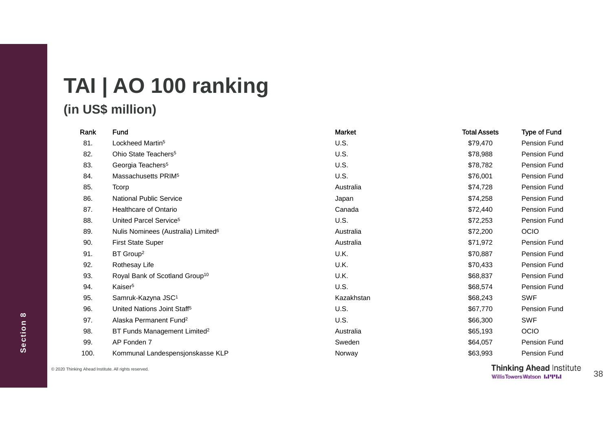### **TAI | AO 100 ranking (in US\$ million)**

| Rank | Fund                                            | <b>Market</b> | <b>Total Assets</b> | <b>Type of Fund</b> |
|------|-------------------------------------------------|---------------|---------------------|---------------------|
| 81.  | Lockheed Martin <sup>5</sup>                    | U.S.          | \$79,470            | Pension Fund        |
| 82.  | Ohio State Teachers <sup>5</sup>                | U.S.          | \$78,988            | Pension Fund        |
| 83.  | Georgia Teachers <sup>5</sup>                   | U.S.          | \$78,782            | Pension Fund        |
| 84.  | Massachusetts PRIM <sup>5</sup>                 | U.S.          | \$76,001            | Pension Fund        |
| 85.  | Tcorp                                           | Australia     | \$74,728            | Pension Fund        |
| 86.  | <b>National Public Service</b>                  | Japan         | \$74,258            | Pension Fund        |
| 87.  | <b>Healthcare of Ontario</b>                    | Canada        | \$72,440            | Pension Fund        |
| 88.  | United Parcel Service <sup>5</sup>              | U.S.          | \$72,253            | Pension Fund        |
| 89.  | Nulis Nominees (Australia) Limited <sup>6</sup> | Australia     | \$72,200            | <b>OCIO</b>         |
| 90.  | <b>First State Super</b>                        | Australia     | \$71,972            | Pension Fund        |
| 91.  | BT Group <sup>2</sup>                           | U.K.          | \$70,887            | Pension Fund        |
| 92.  | Rothesay Life                                   | U.K.          | \$70,433            | Pension Fund        |
| 93.  | Royal Bank of Scotland Group <sup>10</sup>      | U.K.          | \$68,837            | Pension Fund        |
| 94.  | Kaiser <sup>5</sup>                             | U.S.          | \$68,574            | Pension Fund        |
| 95.  | Samruk-Kazyna JSC <sup>1</sup>                  | Kazakhstan    | \$68,243            | <b>SWF</b>          |
| 96.  | United Nations Joint Staff <sup>5</sup>         | U.S.          | \$67,770            | Pension Fund        |
| 97.  | Alaska Permanent Fund <sup>2</sup>              | U.S.          | \$66,300            | <b>SWF</b>          |
| 98.  | BT Funds Management Limited <sup>2</sup>        | Australia     | \$65,193            | OCIO                |
| 99.  | AP Fonden 7                                     | Sweden        | \$64,057            | Pension Fund        |
| 100. | Kommunal Landespensjonskasse KLP                | Norway        | \$63,993            | Pension Fund        |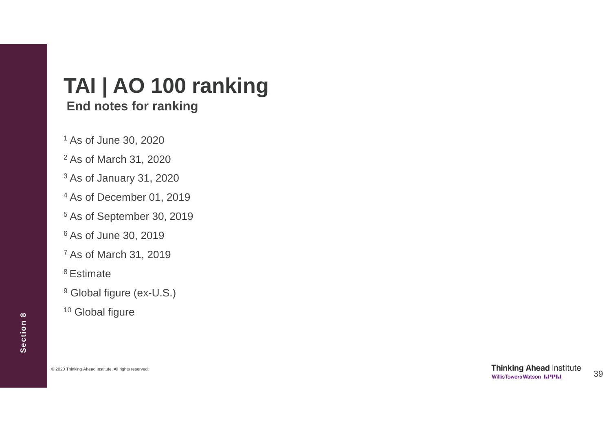### **TAI | AO 100 ranking End notes for ranking**

<sup>1</sup> As of June 30, 2020

- <sup>2</sup> As of March 31, 2020
- <sup>3</sup> As of January 31, 2020
- <sup>4</sup> As of December 01, 2019
- <sup>5</sup> As of September 30, 2019
- <sup>6</sup> As of June 30, 2019
- <sup>7</sup> As of March 31, 2019
- 8 Estimate
- <sup>9</sup> Global figure (ex-U.S.)
- <sup>10</sup> Global figure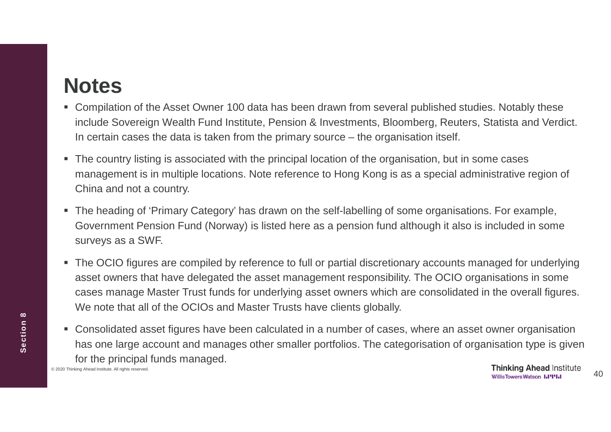# **Notes**

- Compilation of the Asset Owner 100 data has been drawn from several published studies. Notably these include Sovereign Wealth Fund Institute, Pension & Investments, Bloomberg, Reuters, Statista and Verdict. In certain cases the data is taken from the primary source – the organisation itself.
- The country listing is associated with the principal location of the organisation, but in some cases management is in multiple locations. Note reference to Hong Kong is as a special administrative region of China and not a country.
- The heading of 'Primary Category' has drawn on the self-labelling of some organisations. For example, Government Pension Fund (Norway) is listed here as a pension fund although it also is included in some surveys as a SWF.
- The OCIO figures are compiled by reference to full or partial discretionary accounts managed for underlying asset owners that have delegated the asset management responsibility. The OCIO organisations in some cases manage Master Trust funds for underlying asset owners which are consolidated in the overall figures. We note that all of the OCIOs and Master Trusts have clients globally.
- Consolidated asset figures have been calculated in a number of cases, where an asset owner organisation has one large account and manages other smaller portfolios. The categorisation of organisation type is given for the principal funds managed.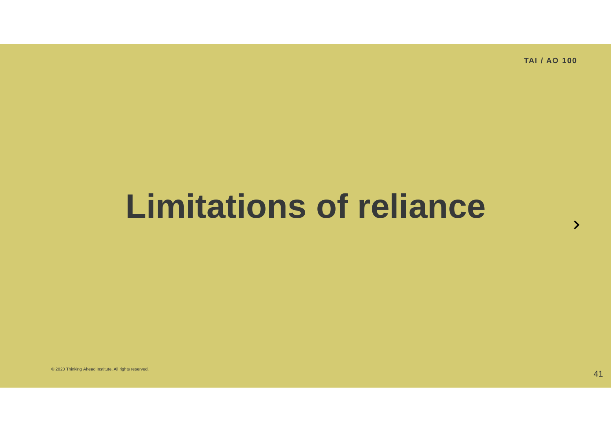# **Limitations of reliance**

© 2020 Thinking Ahead Institute. All rights reserved.  $\rm 41$ 

 $\mathcal{P}$